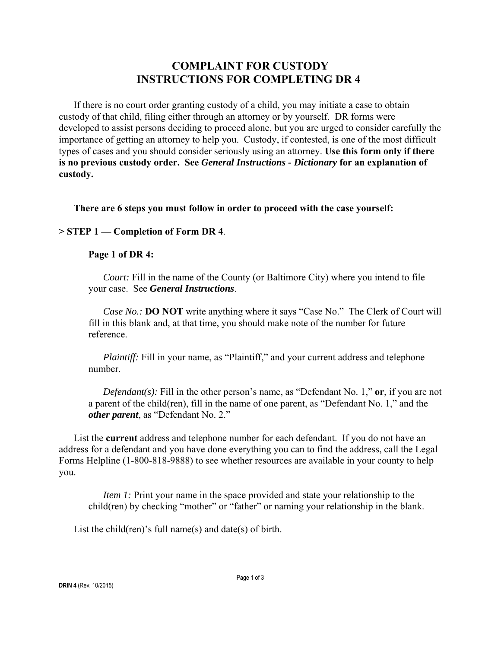# **COMPLAINT FOR CUSTODY INSTRUCTIONS FOR COMPLETING DR 4**

If there is no court order granting custody of a child, you may initiate a case to obtain custody of that child, filing either through an attorney or by yourself. DR forms were developed to assist persons deciding to proceed alone, but you are urged to consider carefully the importance of getting an attorney to help you. Custody, if contested, is one of the most difficult types of cases and you should consider seriously using an attorney. **Use this form only if there is no previous custody order. See** *General Instructions - Dictionary* **for an explanation of custody.**

**There are 6 steps you must follow in order to proceed with the case yourself:**

# **> STEP 1 — Completion of Form DR 4**.

## **Page 1 of DR 4:**

*Court:* Fill in the name of the County (or Baltimore City) where you intend to file your case. See *General Instructions*.

*Case No.:* **DO NOT** write anything where it says "Case No." The Clerk of Court will fill in this blank and, at that time, you should make note of the number for future reference.

*Plaintiff:* Fill in your name, as "Plaintiff," and your current address and telephone number.

*Defendant(s):* Fill in the other person's name, as "Defendant No. 1," **or**, if you are not a parent of the child(ren), fill in the name of one parent, as "Defendant No. 1," and the *other parent*, as "Defendant No. 2."

List the **current** address and telephone number for each defendant. If you do not have an address for a defendant and you have done everything you can to find the address, call the Legal Forms Helpline (1-800-818-9888) to see whether resources are available in your county to help you.

*Item 1:* Print your name in the space provided and state your relationship to the child(ren) by checking "mother" or "father" or naming your relationship in the blank.

List the child(ren)'s full name(s) and date(s) of birth.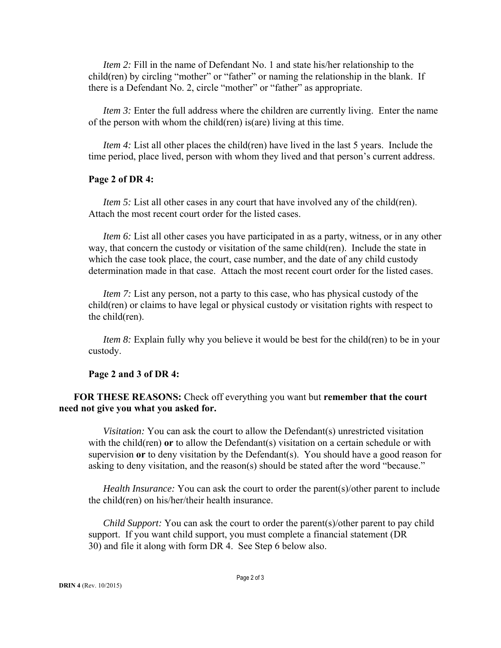*Item 2:* Fill in the name of Defendant No. 1 and state his/her relationship to the child(ren) by circling "mother" or "father" or naming the relationship in the blank. If there is a Defendant No. 2, circle "mother" or "father" as appropriate.

*Item 3:* Enter the full address where the children are currently living. Enter the name of the person with whom the child(ren) is(are) living at this time.

*Item 4:* List all other places the child(ren) have lived in the last 5 years. Include the time period, place lived, person with whom they lived and that person's current address.

#### **Page 2 of DR 4:**

*Item 5:* List all other cases in any court that have involved any of the child(ren). Attach the most recent court order for the listed cases.

*Item 6:* List all other cases you have participated in as a party, witness, or in any other way, that concern the custody or visitation of the same child(ren). Include the state in which the case took place, the court, case number, and the date of any child custody determination made in that case. Attach the most recent court order for the listed cases.

*Item 7:* List any person, not a party to this case, who has physical custody of the child(ren) or claims to have legal or physical custody or visitation rights with respect to the child(ren).

*Item 8:* Explain fully why you believe it would be best for the child(ren) to be in your custody.

#### **Page 2 and 3 of DR 4:**

# **FOR THESE REASONS:** Check off everything you want but **remember that the court need not give you what you asked for.**

*Visitation:* You can ask the court to allow the Defendant(s) unrestricted visitation with the child(ren) **or** to allow the Defendant(s) visitation on a certain schedule or with supervision **or** to deny visitation by the Defendant(s). You should have a good reason for asking to deny visitation, and the reason(s) should be stated after the word "because."

*Health Insurance:* You can ask the court to order the parent(s)/other parent to include the child(ren) on his/her/their health insurance.

*Child Support:* You can ask the court to order the parent(s)/other parent to pay child support. If you want child support, you must complete a financial statement (DR 30) and file it along with form DR 4. See Step 6 below also.